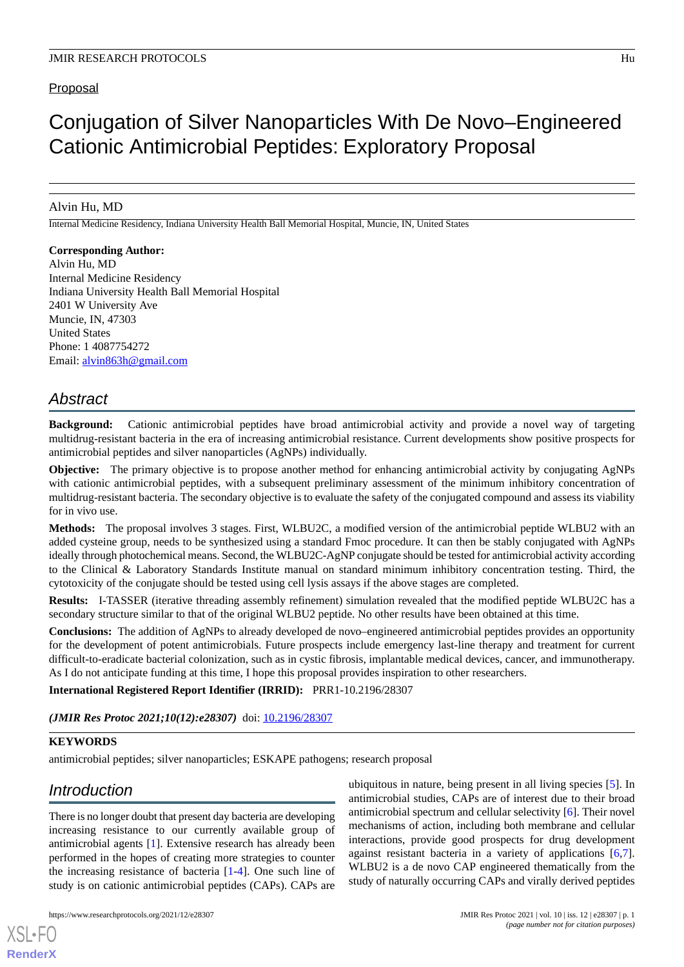### **Proposal**

# Conjugation of Silver Nanoparticles With De Novo–Engineered Cationic Antimicrobial Peptides: Exploratory Proposal

### Alvin Hu, MD

Internal Medicine Residency, Indiana University Health Ball Memorial Hospital, Muncie, IN, United States

#### **Corresponding Author:**

Alvin Hu, MD Internal Medicine Residency Indiana University Health Ball Memorial Hospital 2401 W University Ave Muncie, IN, 47303 United States Phone: 1 4087754272 Email: [alvin863h@gmail.com](mailto:alvin863h@gmail.com)

## *Abstract*

**Background:** Cationic antimicrobial peptides have broad antimicrobial activity and provide a novel way of targeting multidrug-resistant bacteria in the era of increasing antimicrobial resistance. Current developments show positive prospects for antimicrobial peptides and silver nanoparticles (AgNPs) individually.

**Objective:** The primary objective is to propose another method for enhancing antimicrobial activity by conjugating AgNPs with cationic antimicrobial peptides, with a subsequent preliminary assessment of the minimum inhibitory concentration of multidrug-resistant bacteria. The secondary objective is to evaluate the safety of the conjugated compound and assess its viability for in vivo use.

**Methods:** The proposal involves 3 stages. First, WLBU2C, a modified version of the antimicrobial peptide WLBU2 with an added cysteine group, needs to be synthesized using a standard Fmoc procedure. It can then be stably conjugated with AgNPs ideally through photochemical means. Second, the WLBU2C-AgNP conjugate should be tested for antimicrobial activity according to the Clinical & Laboratory Standards Institute manual on standard minimum inhibitory concentration testing. Third, the cytotoxicity of the conjugate should be tested using cell lysis assays if the above stages are completed.

**Results:** I-TASSER (iterative threading assembly refinement) simulation revealed that the modified peptide WLBU2C has a secondary structure similar to that of the original WLBU2 peptide. No other results have been obtained at this time.

**Conclusions:** The addition of AgNPs to already developed de novo–engineered antimicrobial peptides provides an opportunity for the development of potent antimicrobials. Future prospects include emergency last-line therapy and treatment for current difficult-to-eradicate bacterial colonization, such as in cystic fibrosis, implantable medical devices, cancer, and immunotherapy. As I do not anticipate funding at this time, I hope this proposal provides inspiration to other researchers.

#### **International Registered Report Identifier (IRRID):** PRR1-10.2196/28307

*(JMIR Res Protoc 2021;10(12):e28307)* doi: [10.2196/28307](http://dx.doi.org/10.2196/28307)

#### **KEYWORDS**

antimicrobial peptides; silver nanoparticles; ESKAPE pathogens; research proposal

## *Introduction*

[XSL](http://www.w3.org/Style/XSL)•FO **[RenderX](http://www.renderx.com/)**

There is no longer doubt that present day bacteria are developing increasing resistance to our currently available group of antimicrobial agents [\[1](#page-3-0)]. Extensive research has already been performed in the hopes of creating more strategies to counter the increasing resistance of bacteria [\[1](#page-3-0)-[4\]](#page-3-1). One such line of study is on cationic antimicrobial peptides (CAPs). CAPs are

ubiquitous in nature, being present in all living species [[5\]](#page-3-2). In antimicrobial studies, CAPs are of interest due to their broad antimicrobial spectrum and cellular selectivity [[6\]](#page-3-3). Their novel mechanisms of action, including both membrane and cellular interactions, provide good prospects for drug development against resistant bacteria in a variety of applications [\[6](#page-3-3),[7\]](#page-3-4). WLBU2 is a de novo CAP engineered thematically from the study of naturally occurring CAPs and virally derived peptides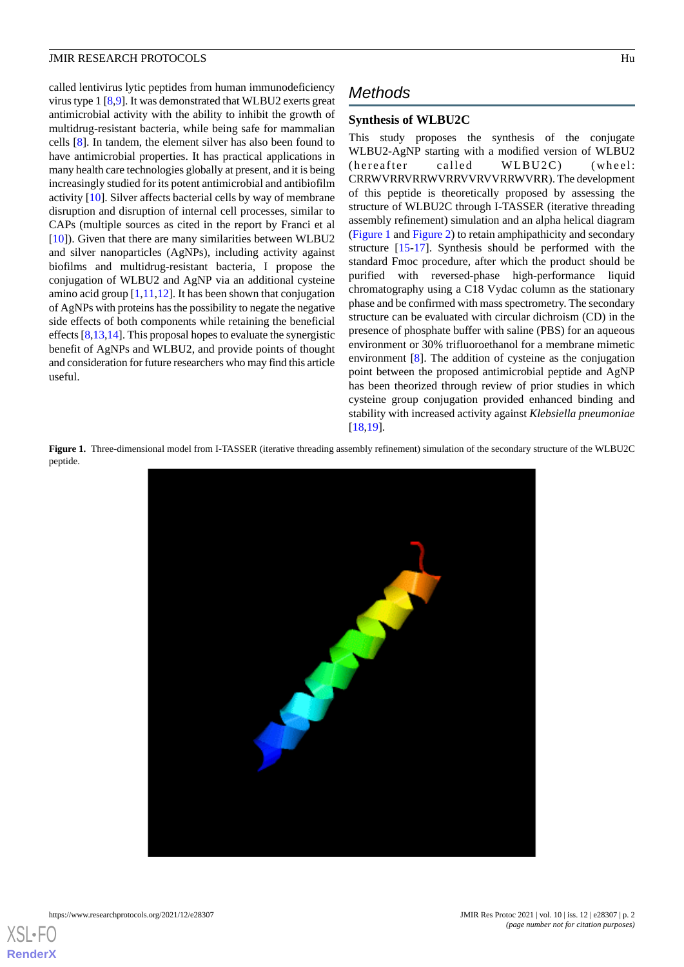#### JMIR RESEARCH PROTOCOLS FOR A 1999 HU AND THE SERVICE OF THE SERVICE OF THE SERVICE OF THE SERVICE OF THE SERVICE OF THE SERVICE OF THE SERVICE OF THE SERVICE OF THE SERVICE OF THE SERVICE OF THE SERVICE OF THE SERVICE OF

called lentivirus lytic peptides from human immunodeficiency virus type 1 [\[8](#page-3-5),[9\]](#page-3-6). It was demonstrated that WLBU2 exerts great antimicrobial activity with the ability to inhibit the growth of multidrug-resistant bacteria, while being safe for mammalian cells [[8\]](#page-3-5). In tandem, the element silver has also been found to have antimicrobial properties. It has practical applications in many health care technologies globally at present, and it is being increasingly studied for its potent antimicrobial and antibiofilm activity [[10\]](#page-3-7). Silver affects bacterial cells by way of membrane disruption and disruption of internal cell processes, similar to CAPs (multiple sources as cited in the report by Franci et al [[10\]](#page-3-7)). Given that there are many similarities between WLBU2 and silver nanoparticles (AgNPs), including activity against biofilms and multidrug-resistant bacteria, I propose the conjugation of WLBU2 and AgNP via an additional cysteine amino acid group [\[1](#page-3-0)[,11](#page-3-8)[,12](#page-3-9)]. It has been shown that conjugation of AgNPs with proteins has the possibility to negate the negative side effects of both components while retaining the beneficial effects [[8,](#page-3-5)[13](#page-4-0)[,14](#page-4-1)]. This proposal hopes to evaluate the synergistic benefit of AgNPs and WLBU2, and provide points of thought and consideration for future researchers who may find this article useful.

## *Methods*

#### **Synthesis of WLBU2C**

This study proposes the synthesis of the conjugate WLBU2-AgNP starting with a modified version of WLBU2 (hereafter called WLBU2C) (wheel: CRRWVRRVRRWVRRVVRVVRRWVRR). The development of this peptide is theoretically proposed by assessing the structure of WLBU2C through I-TASSER (iterative threading assembly refinement) simulation and an alpha helical diagram ([Figure 1](#page-1-0) and [Figure 2\)](#page-2-0) to retain amphipathicity and secondary structure [\[15](#page-4-2)[-17](#page-4-3)]. Synthesis should be performed with the standard Fmoc procedure, after which the product should be purified with reversed-phase high-performance liquid chromatography using a C18 Vydac column as the stationary phase and be confirmed with mass spectrometry. The secondary structure can be evaluated with circular dichroism (CD) in the presence of phosphate buffer with saline (PBS) for an aqueous environment or 30% trifluoroethanol for a membrane mimetic environment [[8\]](#page-3-5). The addition of cysteine as the conjugation point between the proposed antimicrobial peptide and AgNP has been theorized through review of prior studies in which cysteine group conjugation provided enhanced binding and stability with increased activity against *Klebsiella pneumoniae* [[18,](#page-4-4)[19\]](#page-4-5).

<span id="page-1-0"></span>Figure 1. Three-dimensional model from I-TASSER (iterative threading assembly refinement) simulation of the secondary structure of the WLBU2C peptide.



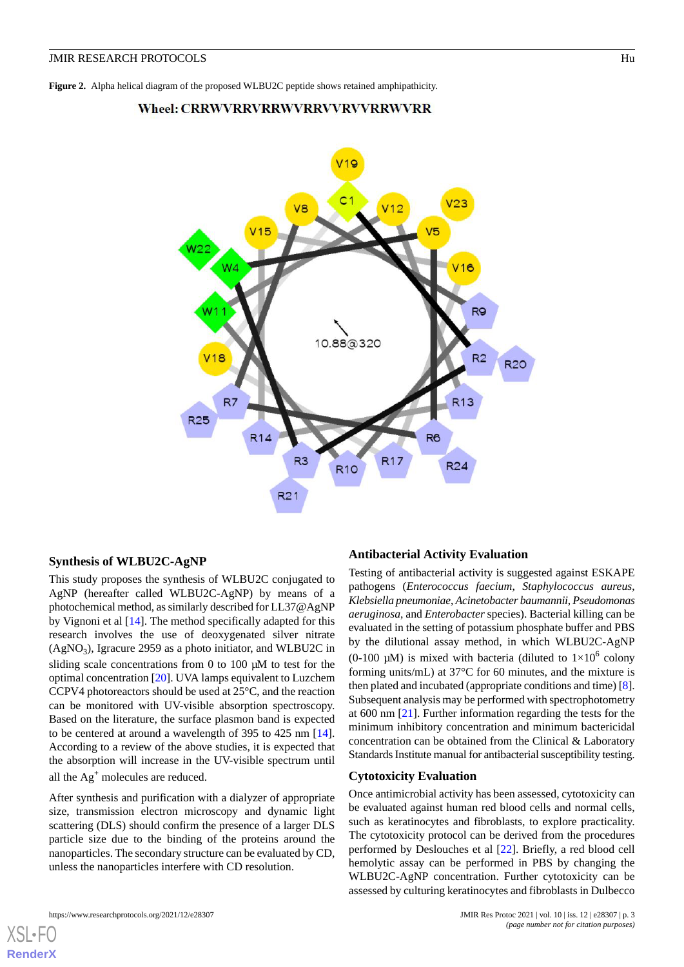### <span id="page-2-0"></span>Wheel: CRRWVRRVRRWVRRVVRRWVRR



#### **Synthesis of WLBU2C-AgNP**

This study proposes the synthesis of WLBU2C conjugated to AgNP (hereafter called WLBU2C-AgNP) by means of a photochemical method, as similarly described for LL37@AgNP by Vignoni et al [\[14](#page-4-1)]. The method specifically adapted for this research involves the use of deoxygenated silver nitrate  $(AgNO<sub>3</sub>)$ , Igracure 2959 as a photo initiator, and WLBU2C in sliding scale concentrations from 0 to 100 μM to test for the optimal concentration [\[20](#page-4-6)]. UVA lamps equivalent to Luzchem CCPV4 photoreactors should be used at 25°C, and the reaction can be monitored with UV-visible absorption spectroscopy. Based on the literature, the surface plasmon band is expected to be centered at around a wavelength of 395 to 425 nm [[14\]](#page-4-1). According to a review of the above studies, it is expected that the absorption will increase in the UV-visible spectrum until all the  $Ag<sup>+</sup>$  molecules are reduced.

After synthesis and purification with a dialyzer of appropriate size, transmission electron microscopy and dynamic light scattering (DLS) should confirm the presence of a larger DLS particle size due to the binding of the proteins around the nanoparticles. The secondary structure can be evaluated by CD, unless the nanoparticles interfere with CD resolution.

#### **Antibacterial Activity Evaluation**

Testing of antibacterial activity is suggested against ESKAPE pathogens (*Enterococcus faecium*, *Staphylococcus aureus*, *Klebsiella pneumoniae*, *Acinetobacter baumannii*, *Pseudomonas aeruginosa*, and *Enterobacter* species). Bacterial killing can be evaluated in the setting of potassium phosphate buffer and PBS by the dilutional assay method, in which WLBU2C-AgNP (0-100  $\mu$ M) is mixed with bacteria (diluted to  $1\times10^6$  colony forming units/mL) at 37°C for 60 minutes, and the mixture is then plated and incubated (appropriate conditions and time) [\[8\]](#page-3-5). Subsequent analysis may be performed with spectrophotometry at 600 nm [[21\]](#page-4-7). Further information regarding the tests for the minimum inhibitory concentration and minimum bactericidal concentration can be obtained from the Clinical & Laboratory Standards Institute manual for antibacterial susceptibility testing.

#### **Cytotoxicity Evaluation**

Once antimicrobial activity has been assessed, cytotoxicity can be evaluated against human red blood cells and normal cells, such as keratinocytes and fibroblasts, to explore practicality. The cytotoxicity protocol can be derived from the procedures performed by Deslouches et al [[22\]](#page-4-8). Briefly, a red blood cell hemolytic assay can be performed in PBS by changing the WLBU2C-AgNP concentration. Further cytotoxicity can be assessed by culturing keratinocytes and fibroblasts in Dulbecco

[XSL](http://www.w3.org/Style/XSL)•FO **[RenderX](http://www.renderx.com/)**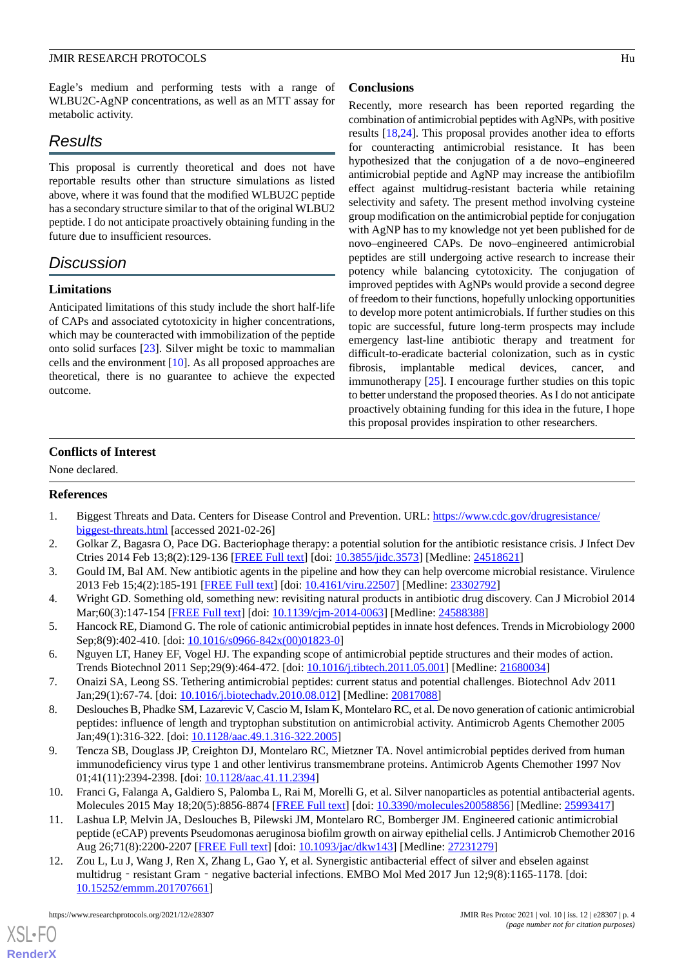#### JMIR RESEARCH PROTOCOLS FUNCTION CONTROL IN THE SERVICE OF THE SERVICE OF THE SERVICE OF THE SERVICE OF THE SERVICE OF THE SERVICE OF THE SERVICE OF THE SERVICE OF THE SERVICE OF THE SERVICE OF THE SERVICE OF THE SERVICE O

Eagle's medium and performing tests with a range of WLBU2C-AgNP concentrations, as well as an MTT assay for metabolic activity.

## *Results*

This proposal is currently theoretical and does not have reportable results other than structure simulations as listed above, where it was found that the modified WLBU2C peptide has a secondary structure similar to that of the original WLBU2 peptide. I do not anticipate proactively obtaining funding in the future due to insufficient resources.

## *Discussion*

#### **Limitations**

Anticipated limitations of this study include the short half-life of CAPs and associated cytotoxicity in higher concentrations, which may be counteracted with immobilization of the peptide onto solid surfaces [\[23](#page-4-9)]. Silver might be toxic to mammalian cells and the environment [[10\]](#page-3-7). As all proposed approaches are theoretical, there is no guarantee to achieve the expected outcome.

#### **Conclusions**

Recently, more research has been reported regarding the combination of antimicrobial peptides with AgNPs, with positive results [\[18](#page-4-4),[24\]](#page-4-10). This proposal provides another idea to efforts for counteracting antimicrobial resistance. It has been hypothesized that the conjugation of a de novo–engineered antimicrobial peptide and AgNP may increase the antibiofilm effect against multidrug-resistant bacteria while retaining selectivity and safety. The present method involving cysteine group modification on the antimicrobial peptide for conjugation with AgNP has to my knowledge not yet been published for de novo–engineered CAPs. De novo–engineered antimicrobial peptides are still undergoing active research to increase their potency while balancing cytotoxicity. The conjugation of improved peptides with AgNPs would provide a second degree of freedom to their functions, hopefully unlocking opportunities to develop more potent antimicrobials. If further studies on this topic are successful, future long-term prospects may include emergency last-line antibiotic therapy and treatment for difficult-to-eradicate bacterial colonization, such as in cystic fibrosis, implantable medical devices, cancer, and immunotherapy [\[25](#page-4-11)]. I encourage further studies on this topic to better understand the proposed theories. As I do not anticipate proactively obtaining funding for this idea in the future, I hope this proposal provides inspiration to other researchers.

#### **Conflicts of Interest**

<span id="page-3-0"></span>None declared.

#### **References**

- 1. Biggest Threats and Data. Centers for Disease Control and Prevention. URL: [https://www.cdc.gov/drugresistance/](https://www.cdc.gov/drugresistance/biggest-threats.html) [biggest-threats.html](https://www.cdc.gov/drugresistance/biggest-threats.html) [accessed 2021-02-26]
- <span id="page-3-1"></span>2. Golkar Z, Bagasra O, Pace DG. Bacteriophage therapy: a potential solution for the antibiotic resistance crisis. J Infect Dev Ctries 2014 Feb 13;8(2):129-136 [\[FREE Full text\]](http://www.jidc.org/index.php/journal/article/view/24518621) [doi: [10.3855/jidc.3573\]](http://dx.doi.org/10.3855/jidc.3573) [Medline: [24518621](http://www.ncbi.nlm.nih.gov/entrez/query.fcgi?cmd=Retrieve&db=PubMed&list_uids=24518621&dopt=Abstract)]
- <span id="page-3-2"></span>3. Gould IM, Bal AM. New antibiotic agents in the pipeline and how they can help overcome microbial resistance. Virulence 2013 Feb 15;4(2):185-191 [[FREE Full text](http://europepmc.org/abstract/MED/23302792)] [doi: [10.4161/viru.22507](http://dx.doi.org/10.4161/viru.22507)] [Medline: [23302792](http://www.ncbi.nlm.nih.gov/entrez/query.fcgi?cmd=Retrieve&db=PubMed&list_uids=23302792&dopt=Abstract)]
- <span id="page-3-3"></span>4. Wright GD. Something old, something new: revisiting natural products in antibiotic drug discovery. Can J Microbiol 2014 Mar;60(3):147-154 [[FREE Full text\]](https://cdnsciencepub.com/doi/abs/10.1139/cjm-2014-0063?url_ver=Z39.88-2003&rfr_id=ori:rid:crossref.org&rfr_dat=cr_pub%3dpubmed) [doi: [10.1139/cjm-2014-0063](http://dx.doi.org/10.1139/cjm-2014-0063)] [Medline: [24588388\]](http://www.ncbi.nlm.nih.gov/entrez/query.fcgi?cmd=Retrieve&db=PubMed&list_uids=24588388&dopt=Abstract)
- <span id="page-3-5"></span><span id="page-3-4"></span>5. Hancock RE, Diamond G. The role of cationic antimicrobial peptides in innate host defences. Trends in Microbiology 2000 Sep;8(9):402-410. [doi: [10.1016/s0966-842x\(00\)01823-0\]](http://dx.doi.org/10.1016/s0966-842x(00)01823-0)
- 6. Nguyen LT, Haney EF, Vogel HJ. The expanding scope of antimicrobial peptide structures and their modes of action. Trends Biotechnol 2011 Sep;29(9):464-472. [doi: [10.1016/j.tibtech.2011.05.001\]](http://dx.doi.org/10.1016/j.tibtech.2011.05.001) [Medline: [21680034](http://www.ncbi.nlm.nih.gov/entrez/query.fcgi?cmd=Retrieve&db=PubMed&list_uids=21680034&dopt=Abstract)]
- <span id="page-3-6"></span>7. Onaizi SA, Leong SS. Tethering antimicrobial peptides: current status and potential challenges. Biotechnol Adv 2011 Jan;29(1):67-74. [doi: [10.1016/j.biotechadv.2010.08.012](http://dx.doi.org/10.1016/j.biotechadv.2010.08.012)] [Medline: [20817088\]](http://www.ncbi.nlm.nih.gov/entrez/query.fcgi?cmd=Retrieve&db=PubMed&list_uids=20817088&dopt=Abstract)
- <span id="page-3-7"></span>8. Deslouches B, Phadke SM, Lazarevic V, Cascio M, Islam K, Montelaro RC, et al. De novo generation of cationic antimicrobial peptides: influence of length and tryptophan substitution on antimicrobial activity. Antimicrob Agents Chemother 2005 Jan;49(1):316-322. [doi: [10.1128/aac.49.1.316-322.2005\]](http://dx.doi.org/10.1128/aac.49.1.316-322.2005)
- <span id="page-3-8"></span>9. Tencza SB, Douglass JP, Creighton DJ, Montelaro RC, Mietzner TA. Novel antimicrobial peptides derived from human immunodeficiency virus type 1 and other lentivirus transmembrane proteins. Antimicrob Agents Chemother 1997 Nov 01;41(11):2394-2398. [doi: [10.1128/aac.41.11.2394\]](http://dx.doi.org/10.1128/aac.41.11.2394)
- <span id="page-3-9"></span>10. Franci G, Falanga A, Galdiero S, Palomba L, Rai M, Morelli G, et al. Silver nanoparticles as potential antibacterial agents. Molecules 2015 May 18;20(5):8856-8874 [\[FREE Full text\]](https://www.mdpi.com/resolver?pii=molecules20058856) [doi: [10.3390/molecules20058856\]](http://dx.doi.org/10.3390/molecules20058856) [Medline: [25993417\]](http://www.ncbi.nlm.nih.gov/entrez/query.fcgi?cmd=Retrieve&db=PubMed&list_uids=25993417&dopt=Abstract)
- 11. Lashua LP, Melvin JA, Deslouches B, Pilewski JM, Montelaro RC, Bomberger JM. Engineered cationic antimicrobial peptide (eCAP) prevents Pseudomonas aeruginosa biofilm growth on airway epithelial cells. J Antimicrob Chemother 2016 Aug 26;71(8):2200-2207 [[FREE Full text](http://europepmc.org/abstract/MED/27231279)] [doi: [10.1093/jac/dkw143](http://dx.doi.org/10.1093/jac/dkw143)] [Medline: [27231279\]](http://www.ncbi.nlm.nih.gov/entrez/query.fcgi?cmd=Retrieve&db=PubMed&list_uids=27231279&dopt=Abstract)
- 12. Zou L, Lu J, Wang J, Ren X, Zhang L, Gao Y, et al. Synergistic antibacterial effect of silver and ebselen against multidrug - resistant Gram - negative bacterial infections. EMBO Mol Med 2017 Jun 12;9(8):1165-1178. [doi: [10.15252/emmm.201707661](http://dx.doi.org/10.15252/emmm.201707661)]

[XSL](http://www.w3.org/Style/XSL)•FO **[RenderX](http://www.renderx.com/)**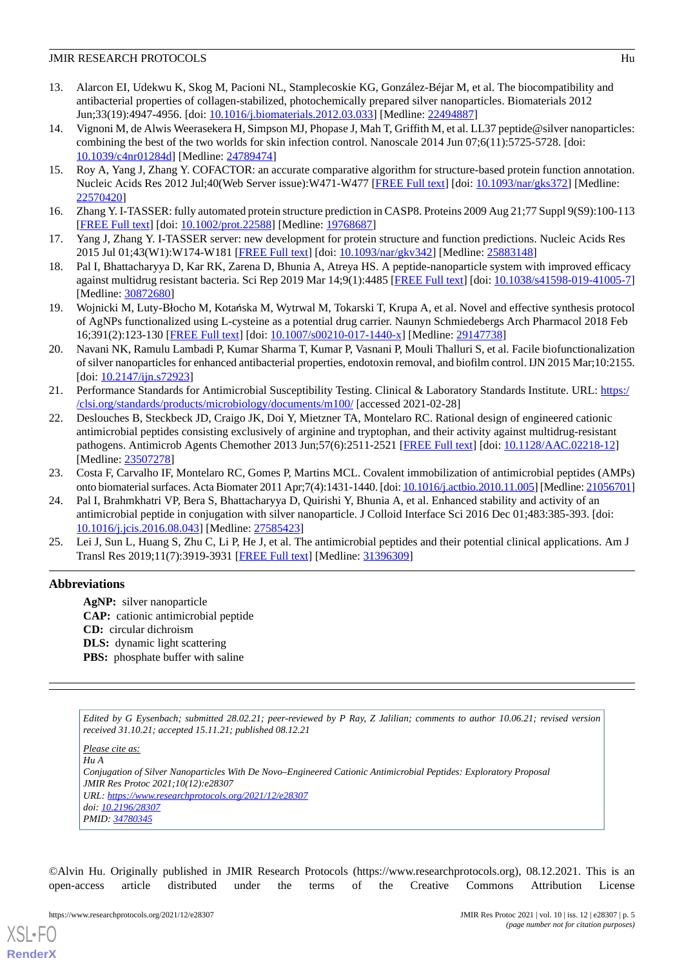#### JMIR RESEARCH PROTOCOLS FUNCTION CONTROL IN THE SERVICE OF THE SERVICE OF THE SERVICE OF THE SERVICE OF THE SERVICE OF THE SERVICE OF THE SERVICE OF THE SERVICE OF THE SERVICE OF THE SERVICE OF THE SERVICE OF THE SERVICE O

- <span id="page-4-0"></span>13. Alarcon EI, Udekwu K, Skog M, Pacioni NL, Stamplecoskie KG, González-Béjar M, et al. The biocompatibility and antibacterial properties of collagen-stabilized, photochemically prepared silver nanoparticles. Biomaterials 2012 Jun;33(19):4947-4956. [doi: [10.1016/j.biomaterials.2012.03.033\]](http://dx.doi.org/10.1016/j.biomaterials.2012.03.033) [Medline: [22494887\]](http://www.ncbi.nlm.nih.gov/entrez/query.fcgi?cmd=Retrieve&db=PubMed&list_uids=22494887&dopt=Abstract)
- <span id="page-4-1"></span>14. Vignoni M, de Alwis Weerasekera H, Simpson MJ, Phopase J, Mah T, Griffith M, et al. LL37 peptide@silver nanoparticles: combining the best of the two worlds for skin infection control. Nanoscale 2014 Jun 07;6(11):5725-5728. [doi: [10.1039/c4nr01284d\]](http://dx.doi.org/10.1039/c4nr01284d) [Medline: [24789474](http://www.ncbi.nlm.nih.gov/entrez/query.fcgi?cmd=Retrieve&db=PubMed&list_uids=24789474&dopt=Abstract)]
- <span id="page-4-2"></span>15. Roy A, Yang J, Zhang Y. COFACTOR: an accurate comparative algorithm for structure-based protein function annotation. Nucleic Acids Res 2012 Jul;40(Web Server issue):W471-W477 [[FREE Full text](http://europepmc.org/abstract/MED/22570420)] [doi: [10.1093/nar/gks372](http://dx.doi.org/10.1093/nar/gks372)] [Medline: [22570420](http://www.ncbi.nlm.nih.gov/entrez/query.fcgi?cmd=Retrieve&db=PubMed&list_uids=22570420&dopt=Abstract)]
- <span id="page-4-3"></span>16. Zhang Y. I-TASSER: fully automated protein structure prediction in CASP8. Proteins 2009 Aug 21;77 Suppl 9(S9):100-113 [[FREE Full text](http://europepmc.org/abstract/MED/19768687)] [doi: [10.1002/prot.22588](http://dx.doi.org/10.1002/prot.22588)] [Medline: [19768687](http://www.ncbi.nlm.nih.gov/entrez/query.fcgi?cmd=Retrieve&db=PubMed&list_uids=19768687&dopt=Abstract)]
- <span id="page-4-4"></span>17. Yang J, Zhang Y. I-TASSER server: new development for protein structure and function predictions. Nucleic Acids Res 2015 Jul 01;43(W1):W174-W181 [[FREE Full text](http://europepmc.org/abstract/MED/25883148)] [doi: [10.1093/nar/gkv342](http://dx.doi.org/10.1093/nar/gkv342)] [Medline: [25883148](http://www.ncbi.nlm.nih.gov/entrez/query.fcgi?cmd=Retrieve&db=PubMed&list_uids=25883148&dopt=Abstract)]
- <span id="page-4-5"></span>18. Pal I, Bhattacharyya D, Kar RK, Zarena D, Bhunia A, Atreya HS. A peptide-nanoparticle system with improved efficacy against multidrug resistant bacteria. Sci Rep 2019 Mar 14;9(1):4485 [[FREE Full text\]](https://doi.org/10.1038/s41598-019-41005-7) [doi: [10.1038/s41598-019-41005-7](http://dx.doi.org/10.1038/s41598-019-41005-7)] [Medline: [30872680](http://www.ncbi.nlm.nih.gov/entrez/query.fcgi?cmd=Retrieve&db=PubMed&list_uids=30872680&dopt=Abstract)]
- <span id="page-4-6"></span>19. Wojnicki M, Luty-Błocho M, Kotańska M, Wytrwal M, Tokarski T, Krupa A, et al. Novel and effective synthesis protocol of AgNPs functionalized using L-cysteine as a potential drug carrier. Naunyn Schmiedebergs Arch Pharmacol 2018 Feb 16;391(2):123-130 [[FREE Full text](http://europepmc.org/abstract/MED/29147738)] [doi: [10.1007/s00210-017-1440-x\]](http://dx.doi.org/10.1007/s00210-017-1440-x) [Medline: [29147738\]](http://www.ncbi.nlm.nih.gov/entrez/query.fcgi?cmd=Retrieve&db=PubMed&list_uids=29147738&dopt=Abstract)
- <span id="page-4-7"></span>20. Navani NK, Ramulu Lambadi P, Kumar Sharma T, Kumar P, Vasnani P, Mouli Thalluri S, et al. Facile biofunctionalization of silver nanoparticles for enhanced antibacterial properties, endotoxin removal, and biofilm control. IJN 2015 Mar;10:2155. [doi: [10.2147/ijn.s72923](http://dx.doi.org/10.2147/ijn.s72923)]
- <span id="page-4-8"></span>21. Performance Standards for Antimicrobial Susceptibility Testing. Clinical & Laboratory Standards Institute. URL: [https:/](https://clsi.org/standards/products/microbiology/documents/m100/) [/clsi.org/standards/products/microbiology/documents/m100/](https://clsi.org/standards/products/microbiology/documents/m100/) [accessed 2021-02-28]
- <span id="page-4-9"></span>22. Deslouches B, Steckbeck JD, Craigo JK, Doi Y, Mietzner TA, Montelaro RC. Rational design of engineered cationic antimicrobial peptides consisting exclusively of arginine and tryptophan, and their activity against multidrug-resistant pathogens. Antimicrob Agents Chemother 2013 Jun;57(6):2511-2521 [\[FREE Full text\]](http://europepmc.org/abstract/MED/23507278) [doi: [10.1128/AAC.02218-12\]](http://dx.doi.org/10.1128/AAC.02218-12) [Medline: [23507278](http://www.ncbi.nlm.nih.gov/entrez/query.fcgi?cmd=Retrieve&db=PubMed&list_uids=23507278&dopt=Abstract)]
- <span id="page-4-10"></span>23. Costa F, Carvalho IF, Montelaro RC, Gomes P, Martins MCL. Covalent immobilization of antimicrobial peptides (AMPs) onto biomaterial surfaces. Acta Biomater 2011 Apr;7(4):1431-1440. [doi: [10.1016/j.actbio.2010.11.005](http://dx.doi.org/10.1016/j.actbio.2010.11.005)] [Medline: [21056701\]](http://www.ncbi.nlm.nih.gov/entrez/query.fcgi?cmd=Retrieve&db=PubMed&list_uids=21056701&dopt=Abstract)
- <span id="page-4-11"></span>24. Pal I, Brahmkhatri VP, Bera S, Bhattacharyya D, Quirishi Y, Bhunia A, et al. Enhanced stability and activity of an antimicrobial peptide in conjugation with silver nanoparticle. J Colloid Interface Sci 2016 Dec 01;483:385-393. [doi: [10.1016/j.jcis.2016.08.043\]](http://dx.doi.org/10.1016/j.jcis.2016.08.043) [Medline: [27585423](http://www.ncbi.nlm.nih.gov/entrez/query.fcgi?cmd=Retrieve&db=PubMed&list_uids=27585423&dopt=Abstract)]
- 25. Lei J, Sun L, Huang S, Zhu C, Li P, He J, et al. The antimicrobial peptides and their potential clinical applications. Am J Transl Res 2019;11(7):3919-3931 [\[FREE Full text](http://europepmc.org/abstract/MED/31396309)] [Medline: [31396309](http://www.ncbi.nlm.nih.gov/entrez/query.fcgi?cmd=Retrieve&db=PubMed&list_uids=31396309&dopt=Abstract)]

#### **Abbreviations**

**AgNP:** silver nanoparticle **CAP:** cationic antimicrobial peptide **CD:** circular dichroism **DLS:** dynamic light scattering **PBS:** phosphate buffer with saline

*Edited by G Eysenbach; submitted 28.02.21; peer-reviewed by P Ray, Z Jalilian; comments to author 10.06.21; revised version received 31.10.21; accepted 15.11.21; published 08.12.21*

*Please cite as: Hu A Conjugation of Silver Nanoparticles With De Novo–Engineered Cationic Antimicrobial Peptides: Exploratory Proposal JMIR Res Protoc 2021;10(12):e28307 URL: <https://www.researchprotocols.org/2021/12/e28307> doi: [10.2196/28307](http://dx.doi.org/10.2196/28307) PMID: [34780345](http://www.ncbi.nlm.nih.gov/entrez/query.fcgi?cmd=Retrieve&db=PubMed&list_uids=34780345&dopt=Abstract)*

©Alvin Hu. Originally published in JMIR Research Protocols (https://www.researchprotocols.org), 08.12.2021. This is an open-access article distributed under the terms of the Creative Commons Attribution License

[XSL](http://www.w3.org/Style/XSL)•FO **[RenderX](http://www.renderx.com/)**